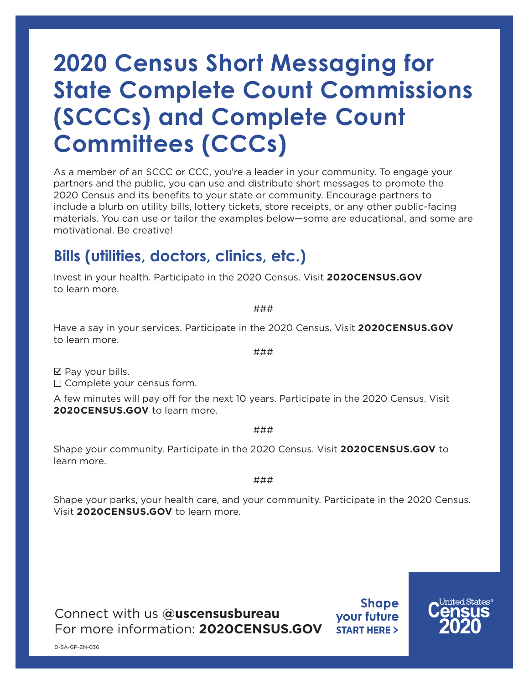# **2020 Census Short Messaging for State Complete Count Commissions (SCCCs) and Complete Count Committees (CCCs)**

As a member of an SCCC or CCC, you're a leader in your community. To engage your partners and the public, you can use and distribute short messages to promote the 2020 Census and its benefits to your state or community. Encourage partners to include a blurb on utility bills, lottery tickets, store receipts, or any other public-facing materials. You can use or tailor the examples below—some are educational, and some are motivational. Be creative!

## **Bills (utilities, doctors, clinics, etc.)**

Invest in your health. Participate in the 2020 Census. Visit **2020[CENSUS.GOV](https://2020census.gov/en)** to learn more.

Have a say in your services. Participate in the 2020 Census. Visit **2020[CENSUS.GOV](https://2020census.gov/en)** to learn more.

 $\boxtimes$  Pay your bills.

 $\Box$  Complete your census form.

A few minutes will pay off for the next 10 years. Participate in the 2020 Census. Visit **2020[CENSUS.GOV](https://2020census.gov/en)** to learn more.

###

Shape your community. Participate in the 2020 Census. Visit **202[0CENSUS.GOV](https://2020census.gov/en)** to learn more.

###

Shape your parks, your health care, and your community. Participate in the 2020 Census. Visit **2020[CENSUS.GOV](https://2020census.gov/en)** to learn more.

Connect with us **[@uscensusbureau](https://www.census.gov/about/contact-us/social_media.html)** For more information: **[2020CENSUS.GOV](https://2020census.gov/en)**

**Shape** your future **START HERE >** 



###

###